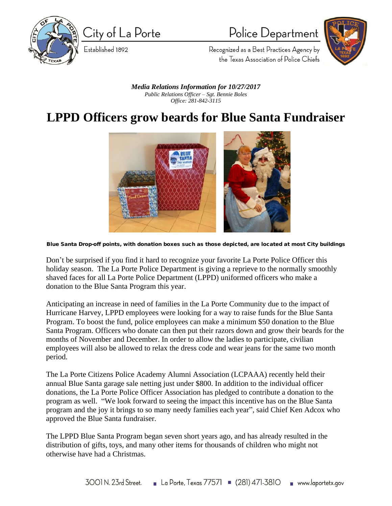

City of La Porte

Established 1892

Police Department



Recognized as a Best Practices Agency by the Texas Association of Police Chiefs

*Media Relations Information for 10/27/2017 Public Relations Officer – Sgt. Bennie Boles Office: 281-842-3115*

## **LPPD Officers grow beards for Blue Santa Fundraiser**



**Blue Santa Drop-off points, with donation boxes such as those depicted, are located at most City buildings**

Don't be surprised if you find it hard to recognize your favorite La Porte Police Officer this holiday season. The La Porte Police Department is giving a reprieve to the normally smoothly shaved faces for all La Porte Police Department (LPPD) uniformed officers who make a donation to the Blue Santa Program this year.

Anticipating an increase in need of families in the La Porte Community due to the impact of Hurricane Harvey, LPPD employees were looking for a way to raise funds for the Blue Santa Program. To boost the fund, police employees can make a minimum \$50 donation to the Blue Santa Program. Officers who donate can then put their razors down and grow their beards for the months of November and December. In order to allow the ladies to participate, civilian employees will also be allowed to relax the dress code and wear jeans for the same two month period.

The La Porte Citizens Police Academy Alumni Association (LCPAAA) recently held their annual Blue Santa garage sale netting just under \$800. In addition to the individual officer donations, the La Porte Police Officer Association has pledged to contribute a donation to the program as well. "We look forward to seeing the impact this incentive has on the Blue Santa program and the joy it brings to so many needy families each year", said Chief Ken Adcox who approved the Blue Santa fundraiser.

The LPPD Blue Santa Program began seven short years ago, and has already resulted in the distribution of gifts, toys, and many other items for thousands of children who might not otherwise have had a Christmas.